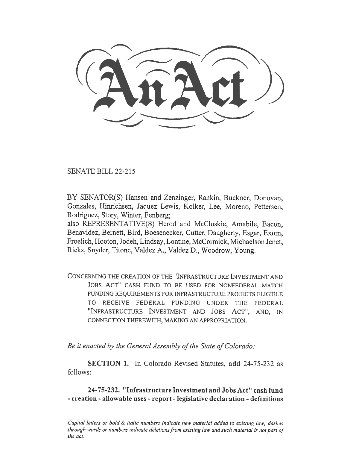SENATE BILL 22-215

BY SENATOR(S) Hansen and Zenzinger, Rankin, Buckner, Donovan, Gonzales, Hinrichsen, Jaquez Lewis, Kolker, Lee, Moreno, Pettersen, Rodriguez, Story, Winter, Fenberg;

also REPRESENTATIVE(S) Herod and McCluskie, Amabile, Bacon, Benavidez, Bernett, Bird, Boesenecker, Cutter, Daugherty, Esgar, Exum, Froelich, Hooton, Jodeh, Lindsay, Lontine, McCormick, Michaelson Jenet, Ricks, Snyder, Titone, Valdez A., Valdez D., Woodrow, Young.

CONCERNING THE CREATION OF THE "INFRASTRUCTURE INVESTMENT AND JOBS ACT" CASH FUND TO BE USED FOR NONFEDERAL MATCH FUNDING REQUIREMENTS FOR INFRASTRUCTURE PROJECTS ELIGIBLE TO RECEIVE FEDERAL FUNDING UNDER THE FEDERAL "INFRASTRUCTURE INVESTMENT AND JOBS ACT", AND, IN CONNECTION THEREWITH, MAKING AN APPROPRIATION.

Be it enacted by the General Assembly of the State of Colorado:

SECTION 1. In Colorado Revised Statutes, add 24-75-232 as follows:

24-75-232. "Infrastructure Investment and Jobs Act" cash fund - creation - allowable uses - report - legislative declaration - definitions

 $\overline{Capital}$  letters or bold  $\&$  italic numbers indicate new material added to existing law; dashes through words or numbers indicate deletions from existing law and such material is not part of the act.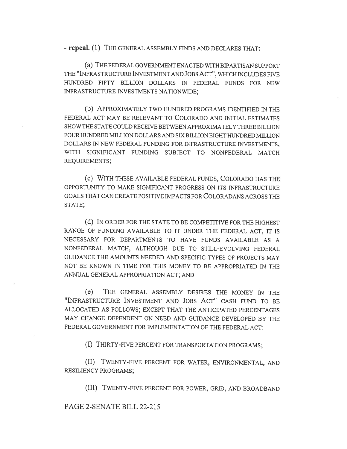- repeal. (1) THE GENERAL ASSEMBLY FINDS AND DECLARES THAT:

(a) THE FEDERAL GOVERNMENT ENACTED WITH BIPARTISAN SUPPORT THE "INFRASTRUCTURE INVESTMENT AND JOBS ACT", WHICH INCLUDES FIVE HUNDRED FIFTY BILLION DOLLARS IN FEDERAL FUNDS FOR NEW INFRASTRUCTURE INVESTMENTS NATIONWIDE;

(b) APPROXIMATELY TWO HUNDRED PROGRAMS IDENTIFIED IN THE FEDERAL ACT MAY BE RELEVANT TO COLORADO AND INITIAL ESTIMATES SHOW THE STATE COULD RECEIVE BETWEEN APPROXIMATELY THREE BILLION FOUR HUNDRED MILLION DOLLARS AND SIX BILLION EIGHT HUNDRED MILLION DOLLARS IN NEW FEDERAL FUNDING FOR INFRASTRUCTURE INVESTMENTS, WITH SIGNIFICANT FUNDING SUBJECT TO NONFEDERAL MATCH REQUIREMENTS;

(c) WITH THESE AVAILABLE FEDERAL FUNDS, COLORADO HAS THE OPPORTUNITY TO MAKE SIGNIFICANT PROGRESS ON ITS INFRASTRUCTURE GOALS THAT CAN CREATE POSITIVE IMPACTS FOR COLORADANS ACROSS THE STATE;

(d) IN ORDER FOR THE STATE TO BE COMPETITIVE FOR THE HIGHEST RANGE OF FUNDING AVAILABLE TO IT UNDER THE FEDERAL ACT, IT IS NECESSARY FOR DEPARTMENTS TO HAVE FUNDS AVAILABLE AS A NONFEDERAL MATCH, ALTHOUGH DUE TO STILL-EVOLVING FEDERAL GUIDANCE THE AMOUNTS NEEDED AND SPECIFIC TYPES OF PROJECTS MAY NOT BE KNOWN IN TIME FOR THIS MONEY TO BE APPROPRIATED IN THE ANNUAL GENERAL APPROPRIATION ACT; AND

(e) THE GENERAL ASSEMBLY DESIRES THE MONEY IN THE "INFRASTRUCTURE INVESTMENT AND JOBS ACT" CASH FUND TO BE ALLOCATED AS FOLLOWS; EXCEPT THAT THE ANTICIPATED PERCENTAGES MAY CHANGE DEPENDENT ON NEED AND GUIDANCE DEVELOPED BY THE FEDERAL GOVERNMENT FOR IMPLEMENTATION OF THE FEDERAL ACT:

(I) THIRTY-FIVE PERCENT FOR TRANSPORTATION PROGRAMS;

(II) TWENTY-FIVE PERCENT FOR WATER, ENVIRONMENTAL, AND RESILIENCY PROGRAMS;

(III) TWENTY-FIVE PERCENT FOR POWER, GRID, AND BROADBAND

PAGE 2-SENATE BILL 22-215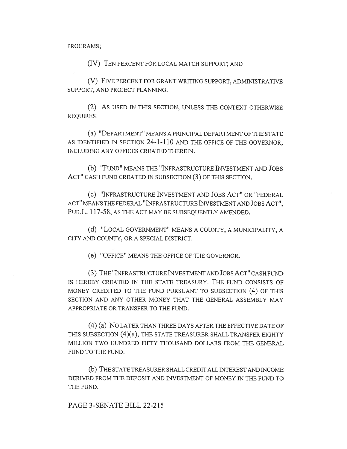PROGRAMS;

(IV) TEN PERCENT FOR LOCAL MATCH SUPPORT; AND

(V) FIVE PERCENT FOR GRANT WRITING SUPPORT, ADMINISTRATIVE SUPPORT, AND PROJECT PLANNING.

(2) AS USED IN THIS SECTION, UNLESS THE CONTEXT OTHERWISE REQUIRES:

(a) "DEPARTMENT" MEANS A PRINCIPAL DEPARTMENT OF THE STATE AS IDENTIFIED IN SECTION 24-1-110 AND THE OFFICE OF THE GOVERNOR, INCLUDING ANY OFFICES CREATED THEREIN.

(b) "FUND" MEANS THE "INFRASTRUCTURE INVESTMENT AND JOBS ACT" CASH FUND CREATED IN SUBSECTION (3) OF THIS SECTION.

(c) "INFRASTRUCTURE INVESTMENT AND JOBS ACT" OR "FEDERAL ACT" MEANS THE FEDERAL "INFRASTRUCTURE INVESTMENT AND JOBS ACT", PuB.L. 117-58, AS THE ACT MAY BE SUBSEQUENTLY AMENDED.

(d) "LOCAL GOVERNMENT" MEANS A COUNTY, A MUNICIPALITY, A CITY AND COUNTY, OR A SPECIAL DISTRICT.

(e) "OFFICE" MEANS THE OFFICE OF THE GOVERNOR.

(3) THE "INFRASTRUCTURE INVESTMENT AND JOBS ACT" CASH FUND IS HEREBY CREATED IN THE STATE TREASURY. THE FUND CONSISTS OF MONEY CREDITED TO THE FUND PURSUANT TO SUBSECTION (4) OF THIS SECTION AND ANY OTHER MONEY THAT THE GENERAL ASSEMBLY MAY APPROPRIATE OR TRANSFER TO THE FUND.

(4) (a) No LATER THAN THREE DAYS AFTER THE EFFECTIVE DATE OF THIS SUBSECTION (4)(a), THE STATE TREASURER SHALL TRANSFER EIGHTY MILLION TWO HUNDRED FIFTY THOUSAND DOLLARS FROM THE GENERAL FUND TO THE FUND.

(b) THE STATE TREASURER SHALL CREDIT ALL INTEREST AND INCOME DERIVED FROM THE DEPOSIT AND INVESTMENT OF MONEY IN THE FUND TO THE FUND.

PAGE 3-SENATE BILL 22-215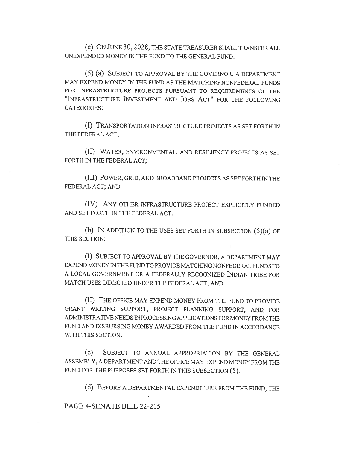(c) ON JUNE 30, 2028, THE STATE TREASURER SHALL TRANSFER ALL UNEXPENDED MONEY IN THE FUND TO THE GENERAL FUND.

(5) (a) SUBJECT TO APPROVAL BY THE GOVERNOR, A DEPARTMENT MAY EXPEND MONEY IN THE FUND AS THE MATCHING NONFEDERAL FUNDS FOR INFRASTRUCTURE PROJECTS PURSUANT TO REQUIREMENTS OF THE "INFRASTRUCTURE INVESTMENT AND JOBS ACT" FOR THE FOLLOWING CATEGORIES:

(I) TRANSPORTATION INFRASTRUCTURE PROJECTS AS SET FORTH IN THE FEDERAL ACT;

(II) WATER, ENVIRONMENTAL, AND RESILIENCY PROJECTS AS SET FORTH IN THE FEDERAL ACT;

(III) POWER, GRID, AND BROADBAND PROJECTS AS SET FORTH IN THE FEDERAL ACT; AND

(IV) ANY OTHER INFRASTRUCTURE PROJECT EXPLICITLY FUNDED AND SET FORTH IN THE FEDERAL ACT.

(b) IN ADDITION TO THE USES SET FORTH IN SUBSECTION (5)(a) OF THIS SECTION:

(I) SUBJECT TO APPROVAL BY THE GOVERNOR, A DEPARTMENT MAY EXPEND MONEY IN THE FUND TO PROVIDE MATCHING NONFEDERAL FUNDS TO A LOCAL GOVERNMENT OR A FEDERALLY RECOGNIZED INDIAN TRIBE FOR MATCH USES DIRECTED UNDER THE FEDERAL ACT; AND

(II) THE OFFICE MAY EXPEND MONEY FROM THE FUND TO PROVIDE GRANT WRITING SUPPORT, PROJECT PLANNING SUPPORT, AND FOR ADMINISTRATIVE NEEDS IN PROCESSING APPLICATIONS FOR MONEY FROM THE FUND AND DISBURSING MONEY AWARDED FROM THE FUND IN ACCORDANCE WITH THIS SECTION.

(c) SUBJECT TO ANNUAL APPROPRIATION BY THE GENERAL ASSEMBLY, A DEPARTMENT AND THE OFFICE MAY EXPEND MONEY FROM THE FUND FOR THE PURPOSES SET FORTH IN THIS SUBSECTION (5).

(d) BEFORE A DEPARTMENTAL EXPENDITURE FROM THE FUND, THE

PAGE 4-SENATE BILL 22-215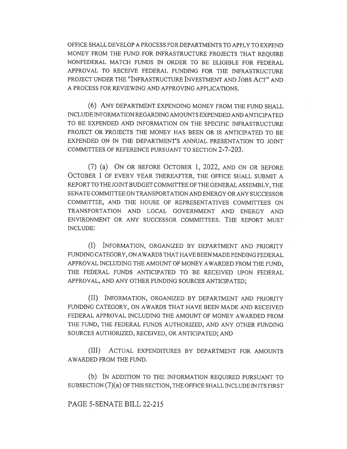OFFICE SHALL DEVELOP A PROCESS FOR DEPARTMENTS TO APPLY TO EXPEND MONEY FROM THE FUND FOR INFRASTRUCTURE PROJECTS THAT REQUIRE NONFEDERAL MATCH FUNDS IN ORDER TO BE ELIGIBLE FOR FEDERAL APPROVAL TO RECEIVE FEDERAL FUNDING FOR THE INFRASTRUCTURE PROJECT UNDER THE "INFRASTRUCTURE INVESTMENT AND JOBS ACT" AND A PROCESS FOR REVIEWING AND APPROVING APPLICATIONS.

(6) ANY DEPARTMENT EXPENDING MONEY FROM THE FUND SHALL INCLUDE INFORMATION REGARDING AMOUNTS EXPENDED AND ANTICIPATED TO BE EXPENDED AND INFORMATION ON THE SPECIFIC INFRASTRUCTURE PROJECT OR PROJECTS THE MONEY HAS BEEN OR IS ANTICIPATED TO BE EXPENDED ON IN THE DEPARTMENT'S ANNUAL PRESENTATION TO JOINT COMMITTEES OF REFERENCE PURSUANT TO SECTION 2-7-203.

(7) (a) ON OR BEFORE OCTOBER 1, 2022, AND ON OR BEFORE OCTOBER 1 OF EVERY YEAR THEREAFTER, THE OFFICE SHALL SUBMIT A REPORT TO THE JOINT BUDGET COMMITTEE OF THE GENERAL ASSEMBLY, THE SENATE COMMITTEE ON TRANSPORTATION AND ENERGY OR ANY SUCCESSOR COMMITTEE, AND THE HOUSE OF REPRESENTATIVES COMMITTEES ON TRANSPORTATION AND LOCAL GOVERNMENT AND ENERGY AND ENVIRONMENT OR ANY SUCCESSOR COMMITTEES. THE REPORT MUST INCLUDE:

(I) INFORMATION, ORGANIZED BY DEPARTMENT AND PRIORITY FUNDING CATEGORY, ON AWARDS THAT HAVE BEEN MADE PENDING FEDERAL APPROVAL INCLUDING THE AMOUNT OF MONEY AWARDED FROM THE FUND, THE FEDERAL FUNDS ANTICIPATED TO BE RECEIVED UPON FEDERAL APPROVAL, AND ANY OTHER FUNDING SOURCES ANTICIPATED;

(II) INFORMATION, ORGANIZED BY DEPARTMENT AND PRIORITY FUNDING CATEGORY, ON AWARDS THAT HAVE BEEN MADE AND RECEIVED FEDERAL APPROVAL INCLUDING THE AMOUNT OF MONEY AWARDED FROM THE FUND, THE FEDERAL FUNDS AUTHORIZED, AND ANY OTHER FUNDING SOURCES AUTHORIZED, RECEIVED, OR ANTICIPATED; AND

(III) ACTUAL EXPENDITURES BY DEPARTMENT FOR AMOUNTS AWARDED FROM THE FUND.

(b) IN ADDITION TO THE INFORMATION REQUIRED PURSUANT TO SUBSECTION (7)(a) OF THIS SECTION, THE OFFICE SHALL INCLUDE IN ITS FIRST

## PAGE 5-SENATE BILL 22-215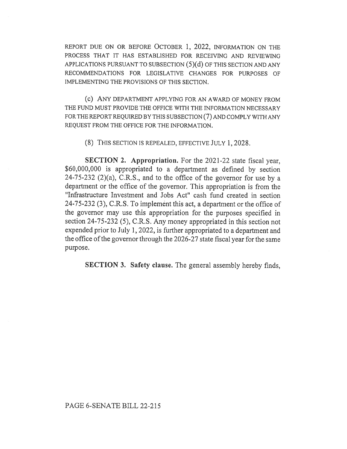REPORT DUE ON OR BEFORE OCTOBER 1, 2022, INFORMATION ON THE PROCESS THAT IT HAS ESTABLISHED FOR RECEIVING AND REVIEWING APPLICATIONS PURSUANT TO SUBSECTION (5)(d) OF THIS SECTION AND ANY RECOMMENDATIONS FOR LEGISLATIVE CHANGES FOR PURPOSES OF IMPLEMENTING THE PROVISIONS OF THIS SECTION.

(c) ANY DEPARTMENT APPLYING FOR AN AWARD OF MONEY FROM THE FUND MUST PROVIDE THE OFFICE WITH THE INFORMATION NECESSARY FOR THE REPORT REQUIRED BY THIS SUBSECTION (7) AND COMPLY WITH ANY REQUEST FROM THE OFFICE FOR THE INFORMATION.

(8) THIS SECTION IS REPEALED, EFFECTIVE JULY 1, 2028.

SECTION 2. Appropriation. For the 2021-22 state fiscal year, \$60,000,000 is appropriated to a department as defined by section  $24-75-232$   $(2)(a)$ , C.R.S., and to the office of the governor for use by a department or the office of the governor. This appropriation is from the "Infrastructure Investment and Jobs Act" cash fund created in section 24-75-232 (3), C.R.S. To implement this act, a department or the office of the governor may use this appropriation for the purposes specified in section 24-75-232 (5), C.R.S. Any money appropriated in this section not expended prior to July 1, 2022, is further appropriated to a department and the office of the governor through the 2026-27 state fiscal year for the same purpose.

SECTION 3. Safety clause. The general assembly hereby finds,